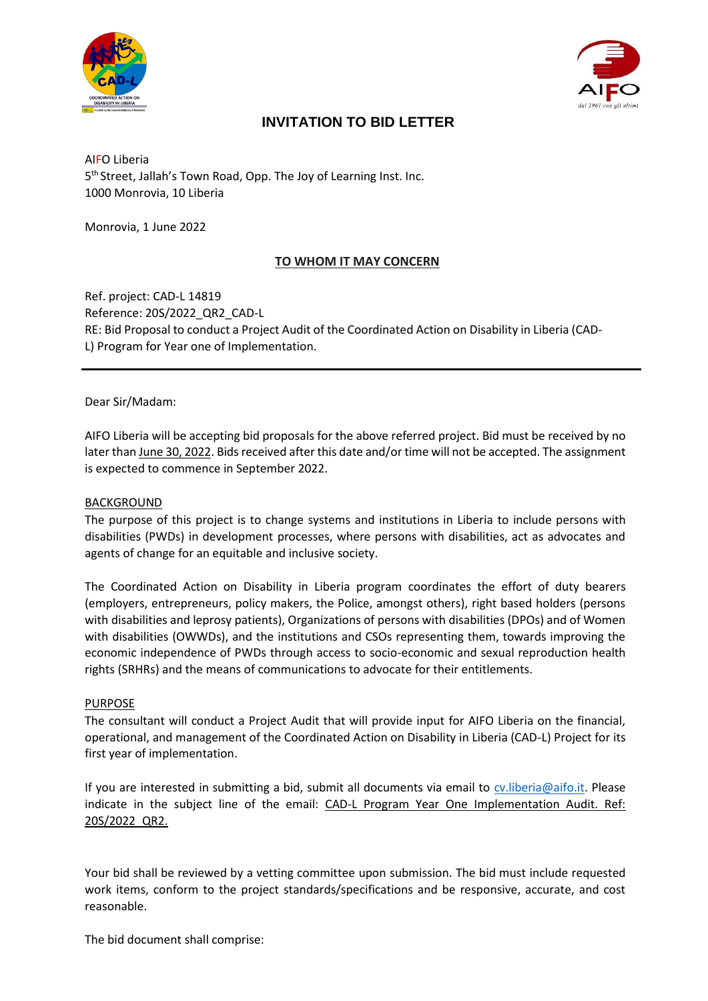



# **INVITATION TO BID LETTER**

AIFO Liberia 5<sup>th</sup> Street, Jallah's Town Road, Opp. The Joy of Learning Inst. Inc. 1000 Monrovia, 10 Liberia

Monrovia, 1 June 2022

## **TO WHOM IT MAY CONCERN**

Ref. project: CAD-L 14819 Reference: 20S/2022\_QR2\_CAD-L RE: Bid Proposal to conduct a Project Audit of the Coordinated Action on Disability in Liberia (CAD-L) Program for Year one of Implementation.

Dear Sir/Madam:

AIFO Liberia will be accepting bid proposals for the above referred project. Bid must be received by no later than June 30, 2022. Bids received after this date and/or time will not be accepted. The assignment is expected to commence in September 2022.

#### BACKGROUND

The purpose of this project is to change systems and institutions in Liberia to include persons with disabilities (PWDs) in development processes, where persons with disabilities, act as advocates and agents of change for an equitable and inclusive society.

The Coordinated Action on Disability in Liberia program coordinates the effort of duty bearers (employers, entrepreneurs, policy makers, the Police, amongst others), right based holders (persons with disabilities and leprosy patients), Organizations of persons with disabilities (DPOs) and of Women with disabilities (OWWDs), and the institutions and CSOs representing them, towards improving the economic independence of PWDs through access to socio-economic and sexual reproduction health rights (SRHRs) and the means of communications to advocate for their entitlements.

#### PURPOSE

The consultant will conduct a Project Audit that will provide input for AIFO Liberia on the financial, operational, and management of the Coordinated Action on Disability in Liberia (CAD-L) Project for its first year of implementation.

If you are interested in submitting a bid, submit all documents via email to cv.liberia@aifo.it. Please indicate in the subject line of the email: CAD-L Program Year One Implementation Audit. Ref: 20S/2022\_QR2.

Your bid shall be reviewed by a vetting committee upon submission. The bid must include requested work items, conform to the project standards/specifications and be responsive, accurate, and cost reasonable.

The bid document shall comprise: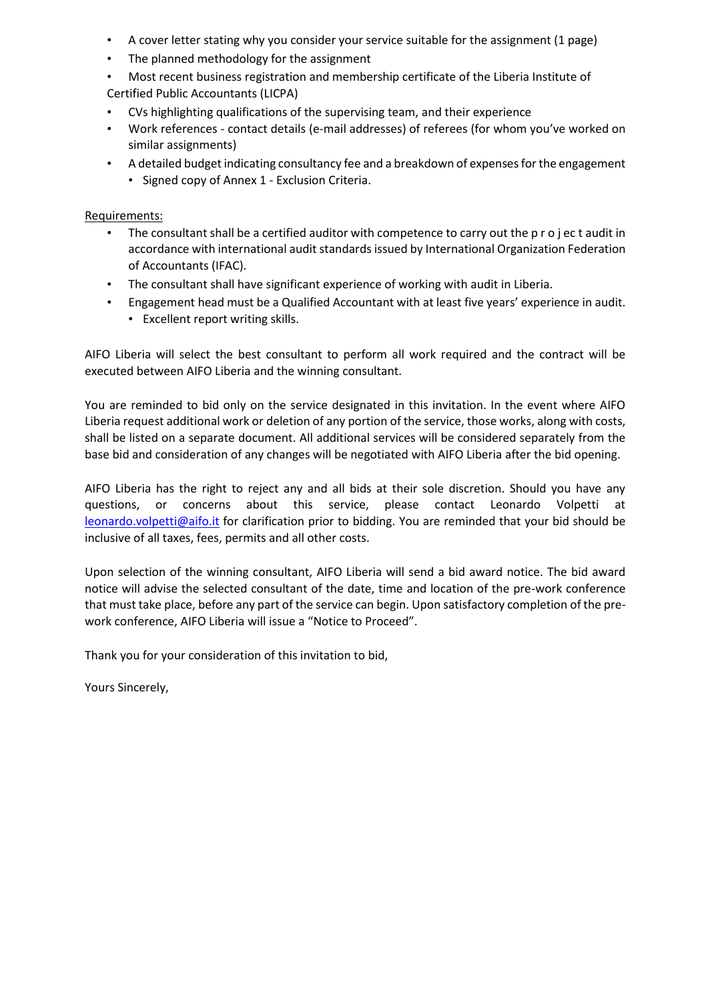- A cover letter stating why you consider your service suitable for the assignment (1 page)
- The planned methodology for the assignment
- Most recent business registration and membership certificate of the Liberia Institute of Certified Public Accountants (LICPA)
- CVs highlighting qualifications of the supervising team, and their experience
- Work references contact details (e-mail addresses) of referees (for whom you've worked on similar assignments)
- A detailed budget indicating consultancy fee and a breakdown of expenses for the engagement • Signed copy of Annex 1 - Exclusion Criteria.

Requirements:

- The consultant shall be a certified auditor with competence to carry out the p r o j ec t audit in accordance with international audit standards issued by International Organization Federation of Accountants (IFAC).
- The consultant shall have significant experience of working with audit in Liberia.
- Engagement head must be a Qualified Accountant with at least five years' experience in audit.
	- Excellent report writing skills.

AIFO Liberia will select the best consultant to perform all work required and the contract will be executed between AIFO Liberia and the winning consultant.

You are reminded to bid only on the service designated in this invitation. In the event where AIFO Liberia request additional work or deletion of any portion of the service, those works, along with costs, shall be listed on a separate document. All additional services will be considered separately from the base bid and consideration of any changes will be negotiated with AIFO Liberia after the bid opening.

AIFO Liberia has the right to reject any and all bids at their sole discretion. Should you have any questions, or concerns about this service, please contact Leonardo Volpetti at leonardo.volpetti@aifo.it for clarification prior to bidding. You are reminded that your bid should be inclusive of all taxes, fees, permits and all other costs.

Upon selection of the winning consultant, AIFO Liberia will send a bid award notice. The bid award notice will advise the selected consultant of the date, time and location of the pre-work conference that must take place, before any part of the service can begin. Upon satisfactory completion of the prework conference, AIFO Liberia will issue a "Notice to Proceed".

Thank you for your consideration of this invitation to bid,

Yours Sincerely,